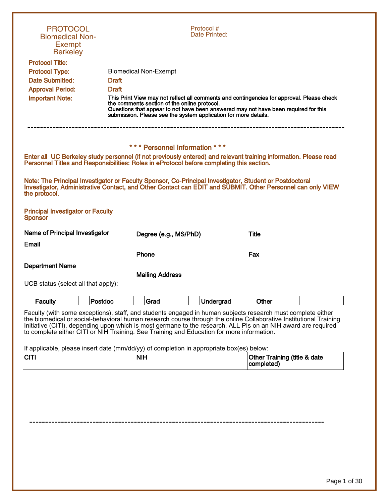| <b>PROTOCOL</b><br><b>Biomedical Non-</b><br><b>Exempt</b><br><b>Berkeley</b>                                                                                                                                                                                                                                                                                                                                                                  |                                                                                                                 | Protocol #<br>Date Printed: |                                                                                                                                                                                  |
|------------------------------------------------------------------------------------------------------------------------------------------------------------------------------------------------------------------------------------------------------------------------------------------------------------------------------------------------------------------------------------------------------------------------------------------------|-----------------------------------------------------------------------------------------------------------------|-----------------------------|----------------------------------------------------------------------------------------------------------------------------------------------------------------------------------|
| <b>Protocol Title:</b>                                                                                                                                                                                                                                                                                                                                                                                                                         |                                                                                                                 |                             |                                                                                                                                                                                  |
| <b>Protocol Type:</b><br><b>Date Submitted:</b>                                                                                                                                                                                                                                                                                                                                                                                                | <b>Biomedical Non-Exempt</b><br><b>Draft</b>                                                                    |                             |                                                                                                                                                                                  |
| <b>Approval Period:</b>                                                                                                                                                                                                                                                                                                                                                                                                                        | <b>Draft</b>                                                                                                    |                             |                                                                                                                                                                                  |
| <b>Important Note:</b>                                                                                                                                                                                                                                                                                                                                                                                                                         | the comments section of the online protocol.<br>submission. Please see the system application for more details. |                             | This Print View may not reflect all comments and contingencies for approval. Please check<br>Questions that appear to not have been answered may not have been required for this |
|                                                                                                                                                                                                                                                                                                                                                                                                                                                | *** Personnel Information ***                                                                                   |                             |                                                                                                                                                                                  |
|                                                                                                                                                                                                                                                                                                                                                                                                                                                | Personnel Titles and Responsibilities: Roles in eProtocol before completing this section.                       |                             | Enter all UC Berkeley study personnel (if not previously entered) and relevant training information. Please read                                                                 |
| Note: The Principal Investigator or Faculty Sponsor, Co-Principal Investigator, Student or Postdoctoral<br>Investigator, Administrative Contact, and Other Contact can EDIT and SUBMIT. Other Personnel can only VIEW<br>the protocol.                                                                                                                                                                                                         |                                                                                                                 |                             |                                                                                                                                                                                  |
| <b>Principal Investigator or Faculty</b><br><b>Sponsor</b>                                                                                                                                                                                                                                                                                                                                                                                     |                                                                                                                 |                             |                                                                                                                                                                                  |
| Name of Principal Investigator                                                                                                                                                                                                                                                                                                                                                                                                                 | Degree (e.g., MS/PhD)                                                                                           |                             | <b>Title</b>                                                                                                                                                                     |
| Email                                                                                                                                                                                                                                                                                                                                                                                                                                          |                                                                                                                 |                             |                                                                                                                                                                                  |
|                                                                                                                                                                                                                                                                                                                                                                                                                                                | Phone                                                                                                           |                             | Fax                                                                                                                                                                              |
| <b>Department Name</b>                                                                                                                                                                                                                                                                                                                                                                                                                         |                                                                                                                 |                             |                                                                                                                                                                                  |
| UCB status (select all that apply):                                                                                                                                                                                                                                                                                                                                                                                                            | <b>Mailing Address</b>                                                                                          |                             |                                                                                                                                                                                  |
| Faculty<br>Postdoc                                                                                                                                                                                                                                                                                                                                                                                                                             | Grad                                                                                                            | Undergrad                   | Other                                                                                                                                                                            |
| Faculty (with some exceptions), staff, and students engaged in human subjects research must complete either<br>the biomedical or social-behavioral human research course through the online Collaborative Institutional Training<br>Initiative (CITI), depending upon which is most germane to the research. ALL PIs on an NIH award are required<br>to complete either CITI or NIH Training. See Training and Education for more information. |                                                                                                                 |                             |                                                                                                                                                                                  |
| <b>CITI</b>                                                                                                                                                                                                                                                                                                                                                                                                                                    | If applicable, please insert date (mm/dd/yy) of completion in appropriate box(es) below:<br><b>NIH</b>          |                             | Other Training (title & date<br>completed)                                                                                                                                       |
|                                                                                                                                                                                                                                                                                                                                                                                                                                                |                                                                                                                 |                             |                                                                                                                                                                                  |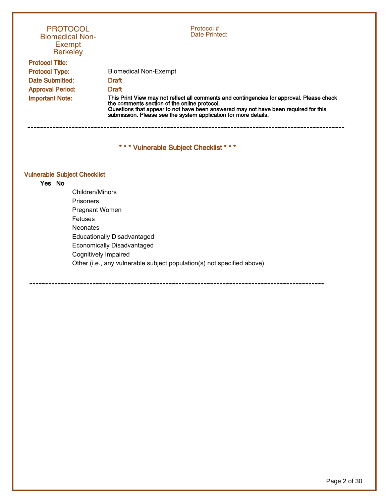| <b>PROTOCOL</b><br><b>Biomedical Non-</b><br><b>Exempt</b><br><b>Berkeley</b> | Protocol #<br>Date Printed:                                                                                                                                                                                                                                                                         |  |
|-------------------------------------------------------------------------------|-----------------------------------------------------------------------------------------------------------------------------------------------------------------------------------------------------------------------------------------------------------------------------------------------------|--|
| <b>Protocol Title:</b>                                                        |                                                                                                                                                                                                                                                                                                     |  |
| <b>Protocol Type:</b>                                                         | Biomedical Non-Exempt                                                                                                                                                                                                                                                                               |  |
| <b>Date Submitted:</b>                                                        | <b>Draft</b>                                                                                                                                                                                                                                                                                        |  |
| <b>Approval Period:</b>                                                       | <b>Draft</b>                                                                                                                                                                                                                                                                                        |  |
| <b>Important Note:</b>                                                        | This Print View may not reflect all comments and contingencies for approval. Please check<br>the comments section of the online protocol.<br>Questions that appear to not have been answered may not have been required for this<br>submission. Please see the system application for more details. |  |
|                                                                               |                                                                                                                                                                                                                                                                                                     |  |

\* \* \* Vulnerable Subject Checklist \* \* \*

# Vulnerable Subject Checklist Yes No

Children/Minors Prisoners Pregnant Women Fetuses Neonates Educationally Disadvantaged Economically Disadvantaged Cognitively Impaired Other (i.e., any vulnerable subject population(s) not specified above)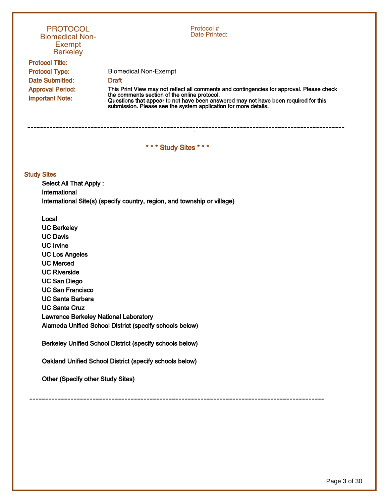# 3 ---------------------------------------------------------------------------------------------------- **PROTOCOL** Biomedical Non-Exempt **Berkeley** Protocol # Date Printed: Protocol Title: Protocol Type: Date Submitted: Approval Period: Important Note: Biomedical Non-Exempt Draft This Print View may not reflect all comments and contingencies for approval. Please check the comments section of the online protocol. Questions that appear to not have been answered may not have been required for this submission. Please see the system application for more details. \* \* \* Study Sites \* \* \* Study Sites Select All That Apply : International International Site(s) (specify country, region, and township or village) Local UC Berkeley UC Davis UC Irvine UC Los Angeles UC Merced UC Riverside UC San Diego UC San Francisco UC Santa Barbara UC Santa Cruz Lawrence Berkeley National Laboratory Alameda Unified School District (specify schools below) Berkeley Unified School District (specify schools below) Oakland Unified School District (specify schools below) Other (Specify other Study Sites) ---------------------------------------------------------------------------------------------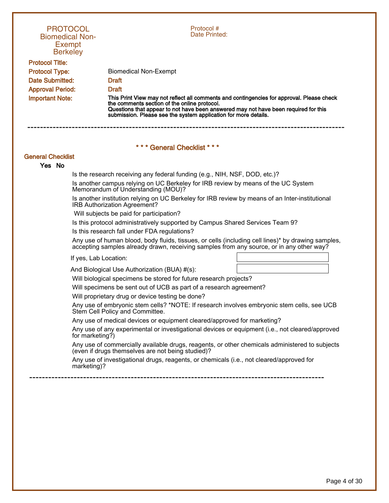| <b>PROTOCOL</b><br><b>Biomedical Non-</b><br><b>Exempt</b><br><b>Berkeley</b> | Protocol #<br>Date Printed:                                                                                                                                                                                                                                                                         |  |
|-------------------------------------------------------------------------------|-----------------------------------------------------------------------------------------------------------------------------------------------------------------------------------------------------------------------------------------------------------------------------------------------------|--|
| <b>Protocol Title:</b>                                                        |                                                                                                                                                                                                                                                                                                     |  |
| <b>Protocol Type:</b>                                                         | <b>Biomedical Non-Exempt</b>                                                                                                                                                                                                                                                                        |  |
| Date Submitted:                                                               | <b>Draft</b>                                                                                                                                                                                                                                                                                        |  |
| <b>Approval Period:</b>                                                       | <b>Draft</b>                                                                                                                                                                                                                                                                                        |  |
| <b>Important Note:</b>                                                        | This Print View may not reflect all comments and contingencies for approval. Please check<br>the comments section of the online protocol.<br>Questions that appear to not have been answered may not have been required for this<br>submission. Please see the system application for more details. |  |
| *** General Checklist ***                                                     |                                                                                                                                                                                                                                                                                                     |  |
| <b>General Checklist</b>                                                      |                                                                                                                                                                                                                                                                                                     |  |
| Yes No                                                                        |                                                                                                                                                                                                                                                                                                     |  |
|                                                                               | Is the research receiving any federal funding (e.g., NIH, NSF, DOD, etc.)?                                                                                                                                                                                                                          |  |
|                                                                               | Is another campus relying on UC Berkeley for IRB review by means of the UC System<br>Memorandum of Understanding (MOU)?                                                                                                                                                                             |  |
|                                                                               | Is another institution relying on UC Berkeley for IRB review by means of an Inter-institutional<br>IRB Authorization Agreement?                                                                                                                                                                     |  |
|                                                                               | Will subjects be paid for participation?                                                                                                                                                                                                                                                            |  |
|                                                                               | Is this protocol administratively supported by Campus Shared Services Team 9?                                                                                                                                                                                                                       |  |

Is this research fall under FDA regulations?

Any use of human blood, body fluids, tissues, or cells (including cell lines)\* by drawing samples, accepting samples already drawn, receiving samples from any source, or in any other way?

If yes, Lab Location:

And Biological Use Authorization (BUA) #(s):

Will biological specimens be stored for future research projects?

Will specimens be sent out of UCB as part of a research agreement?

Will proprietary drug or device testing be done?

Any use of embryonic stem cells? \*NOTE: If research involves embryonic stem cells, see UCB Stem Cell Policy and Committee.

Any use of medical devices or equipment cleared/approved for marketing?

Any use of any experimental or investigational devices or equipment (i.e., not cleared/approved for marketing?)

Any use of commercially available drugs, reagents, or other chemicals administered to subjects (even if drugs themselves are not being studied)?

Any use of investigational drugs, reagents, or chemicals (i.e., not cleared/approved for marketing)?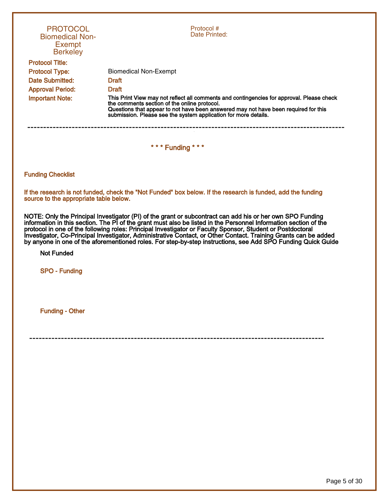| <b>PROTOCOL</b><br><b>Biomedical Non-</b><br><b>Exempt</b><br><b>Berkeley</b>                                                                                                                                                                                                                                                                                                                                                                                                                                                                                                  | Protocol #<br>Date Printed:                                                                                                                                                                                                                                                                         |  |  |
|--------------------------------------------------------------------------------------------------------------------------------------------------------------------------------------------------------------------------------------------------------------------------------------------------------------------------------------------------------------------------------------------------------------------------------------------------------------------------------------------------------------------------------------------------------------------------------|-----------------------------------------------------------------------------------------------------------------------------------------------------------------------------------------------------------------------------------------------------------------------------------------------------|--|--|
| <b>Protocol Title:</b>                                                                                                                                                                                                                                                                                                                                                                                                                                                                                                                                                         |                                                                                                                                                                                                                                                                                                     |  |  |
| <b>Protocol Type:</b>                                                                                                                                                                                                                                                                                                                                                                                                                                                                                                                                                          | <b>Biomedical Non-Exempt</b>                                                                                                                                                                                                                                                                        |  |  |
| Date Submitted:                                                                                                                                                                                                                                                                                                                                                                                                                                                                                                                                                                | Draft                                                                                                                                                                                                                                                                                               |  |  |
| <b>Approval Period:</b>                                                                                                                                                                                                                                                                                                                                                                                                                                                                                                                                                        | <b>Draft</b>                                                                                                                                                                                                                                                                                        |  |  |
| <b>Important Note:</b>                                                                                                                                                                                                                                                                                                                                                                                                                                                                                                                                                         | This Print View may not reflect all comments and contingencies for approval. Please check<br>the comments section of the online protocol.<br>Questions that appear to not have been answered may not have been required for this<br>submission. Please see the system application for more details. |  |  |
|                                                                                                                                                                                                                                                                                                                                                                                                                                                                                                                                                                                | *** Funding ***                                                                                                                                                                                                                                                                                     |  |  |
| <b>Funding Checklist</b>                                                                                                                                                                                                                                                                                                                                                                                                                                                                                                                                                       |                                                                                                                                                                                                                                                                                                     |  |  |
| source to the appropriate table below.                                                                                                                                                                                                                                                                                                                                                                                                                                                                                                                                         | If the research is not funded, check the "Not Funded" box below. If the research is funded, add the funding                                                                                                                                                                                         |  |  |
| NOTE: Only the Principal Investigator (PI) of the grant or subcontract can add his or her own SPO Funding<br>information in this section. The PI of the grant must also be listed in the Personnel Information section of the<br>protocol in one of the following roles: Principal Investigator or Faculty Sponsor, Student or Postdoctoral<br>Investigator, Co-Principal Investigator, Administrative Contact, or Other Contact. Training Grants can be added<br>by anyone in one of the aforementioned roles. For step-by-step instructions, see Add SPO Funding Quick Guide |                                                                                                                                                                                                                                                                                                     |  |  |
| <b>Not Funded</b>                                                                                                                                                                                                                                                                                                                                                                                                                                                                                                                                                              |                                                                                                                                                                                                                                                                                                     |  |  |
| <b>SPO - Funding</b>                                                                                                                                                                                                                                                                                                                                                                                                                                                                                                                                                           |                                                                                                                                                                                                                                                                                                     |  |  |
|                                                                                                                                                                                                                                                                                                                                                                                                                                                                                                                                                                                |                                                                                                                                                                                                                                                                                                     |  |  |
| <b>Funding - Other</b>                                                                                                                                                                                                                                                                                                                                                                                                                                                                                                                                                         |                                                                                                                                                                                                                                                                                                     |  |  |
|                                                                                                                                                                                                                                                                                                                                                                                                                                                                                                                                                                                |                                                                                                                                                                                                                                                                                                     |  |  |
|                                                                                                                                                                                                                                                                                                                                                                                                                                                                                                                                                                                |                                                                                                                                                                                                                                                                                                     |  |  |
|                                                                                                                                                                                                                                                                                                                                                                                                                                                                                                                                                                                |                                                                                                                                                                                                                                                                                                     |  |  |
|                                                                                                                                                                                                                                                                                                                                                                                                                                                                                                                                                                                |                                                                                                                                                                                                                                                                                                     |  |  |
|                                                                                                                                                                                                                                                                                                                                                                                                                                                                                                                                                                                |                                                                                                                                                                                                                                                                                                     |  |  |
|                                                                                                                                                                                                                                                                                                                                                                                                                                                                                                                                                                                |                                                                                                                                                                                                                                                                                                     |  |  |
|                                                                                                                                                                                                                                                                                                                                                                                                                                                                                                                                                                                |                                                                                                                                                                                                                                                                                                     |  |  |
|                                                                                                                                                                                                                                                                                                                                                                                                                                                                                                                                                                                |                                                                                                                                                                                                                                                                                                     |  |  |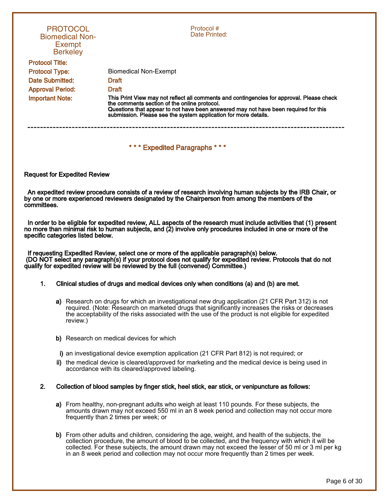| <b>PROTOCOL</b><br><b>Biomedical Non-</b><br>Exempt<br><b>Berkeley</b> | Protocol #<br>Date Printed:                                                                                                                                                                                                                                                                         |  |
|------------------------------------------------------------------------|-----------------------------------------------------------------------------------------------------------------------------------------------------------------------------------------------------------------------------------------------------------------------------------------------------|--|
| <b>Protocol Title:</b>                                                 |                                                                                                                                                                                                                                                                                                     |  |
| <b>Protocol Type:</b>                                                  | <b>Biomedical Non-Exempt</b>                                                                                                                                                                                                                                                                        |  |
| Date Submitted:                                                        | <b>Draft</b>                                                                                                                                                                                                                                                                                        |  |
| <b>Approval Period:</b>                                                | <b>Draft</b>                                                                                                                                                                                                                                                                                        |  |
| <b>Important Note:</b>                                                 | This Print View may not reflect all comments and contingencies for approval. Please check<br>the comments section of the online protocol.<br>Questions that appear to not have been answered may not have been required for this<br>submission. Please see the system application for more details. |  |
|                                                                        |                                                                                                                                                                                                                                                                                                     |  |
|                                                                        | *** Expedited Paragraphs ***                                                                                                                                                                                                                                                                        |  |

#### Request for Expedited Review

 An expedited review procedure consists of a review of research involving human subjects by the IRB Chair, or by one or more experienced reviewers designated by the Chairperson from among the members of the committees.

 In order to be eligible for expedited review, ALL aspects of the research must include activities that (1) present no more than minimal risk to human subjects, and (2) involve only procedures included in one or more of the specific categories listed below.

 If requesting Expedited Review, select one or more of the applicable paragraph(s) below. (DO NOT select any paragraph(s) if your protocol does not qualify for expedited review. Protocols that do not qualify for expedited review will be reviewed by the full (convened) Committee.)

#### 1. Clinical studies of drugs and medical devices only when conditions (a) and (b) are met.

- a) Research on drugs for which an investigational new drug application (21 CFR Part 312) is not required. (Note: Research on marketed drugs that significantly increases the risks or decreases the acceptability of the risks associated with the use of the product is not eligible for expedited review.)
- b) Research on medical devices for which
- i) an investigational device exemption application (21 CFR Part 812) is not required; or
- ii) the medical device is cleared/approved for marketing and the medical device is being used in accordance with its cleared/approved labeling.

#### 2. Collection of blood samples by finger stick, heel stick, ear stick, or venipuncture as follows:

- a) From healthy, non-pregnant adults who weigh at least 110 pounds. For these subjects, the amounts drawn may not exceed 550 ml in an 8 week period and collection may not occur more frequently than 2 times per week; or
- b) From other adults and children, considering the age, weight, and health of the subjects, the collection procedure, the amount of blood to be collected, and the frequency with which it will be collected. For these subjects, the amount drawn may not exceed the lesser of 50 ml or 3 ml per kg in an 8 week period and collection may not occur more frequently than 2 times per week.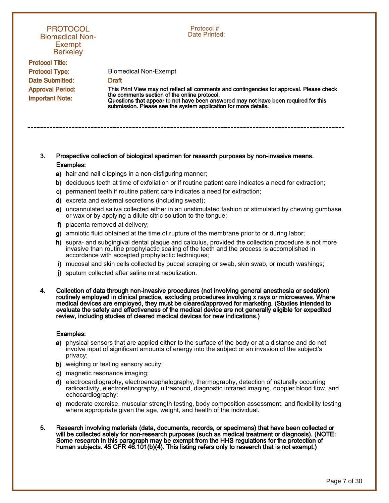# **PROTOCOL** Biomedical Non-Exempt **Berkeley**

Protocol Title: Protocol Type: Date Submitted: Approval Period: Important Note:

Protocol # Date Printed:

Biomedical Non-Exempt **Draft** 

This Print View may not reflect all comments and contingencies for approval. Please check the comments section of the online protocol. Questions that appear to not have been answered may not have been required for this submission. Please see the system application for more details.

# 3. Prospective collection of biological specimen for research purposes by non-invasive means. Examples:

- a) hair and nail clippings in a non-disfiguring manner;
- b) deciduous teeth at time of exfoliation or if routine patient care indicates a need for extraction;

1

----------------------------------------------------------------------------------------------------

- c) permanent teeth if routine patient care indicates a need for extraction;
- d) excreta and external secretions (including sweat);
- e) uncannulated saliva collected either in an unstimulated fashion or stimulated by chewing gumbase or wax or by applying a dilute citric solution to the tongue;
- f) placenta removed at delivery;
- g) amniotic fluid obtained at the time of rupture of the membrane prior to or during labor;
- h) supra- and subgingival dental plaque and calculus, provided the collection procedure is not more invasive than routine prophylactic scaling of the teeth and the process is accomplished in accordance with accepted prophylactic techniques;
- i) mucosal and skin cells collected by buccal scraping or swab, skin swab, or mouth washings;
- j) sputum collected after saline mist nebulization.
- 4. Collection of data through non-invasive procedures (not involving general anesthesia or sedation) routinely employed in clinical practice, excluding procedures involving x rays or microwaves. Where medical devices are employed, they must be cleared/approved for marketing. (Studies intended to evaluate the safety and effectiveness of the medical device are not generally eligible for expedited review, including studies of cleared medical devices for new indications.)

#### Examples:

- a) physical sensors that are applied either to the surface of the body or at a distance and do not involve input of significant amounts of energy into the subject or an invasion of the subject's privacy;
- b) weighing or testing sensory acuity;
- c) magnetic resonance imaging;
- d) electrocardiography, electroencephalography, thermography, detection of naturally occurring radioactivity, electroretinography, ultrasound, diagnostic infrared imaging, doppler blood flow, and echocardiography;
- e) moderate exercise, muscular strength testing, body composition assessment, and flexibility testing where appropriate given the age, weight, and health of the individual.
- 5. Research involving materials (data, documents, records, or specimens) that have been collected or will be collected solely for non-research purposes (such as medical treatment or diagnosis). (NOTE: Some research in this paragraph may be exempt from the HHS regulations for the protection of human subjects. 45 CFR 46.101(b)(4). This listing refers only to research that is not exempt.)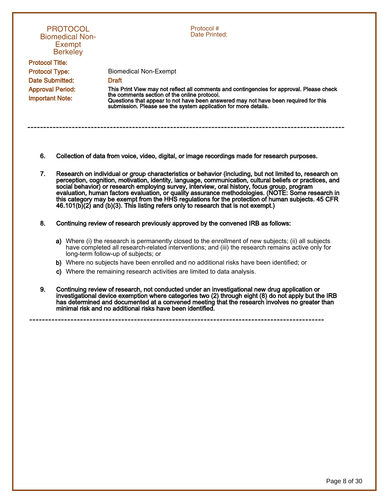| <b>PROTOCOL</b><br><b>Biomedical Non-</b><br>Exempt<br><b>Berkeley</b> | Protocol#<br>Date Printed:                                                                                                                                                                                                                                                                          |  |
|------------------------------------------------------------------------|-----------------------------------------------------------------------------------------------------------------------------------------------------------------------------------------------------------------------------------------------------------------------------------------------------|--|
| <b>Protocol Title:</b>                                                 |                                                                                                                                                                                                                                                                                                     |  |
| <b>Protocol Type:</b>                                                  | Biomedical Non-Exempt                                                                                                                                                                                                                                                                               |  |
| Date Submitted:                                                        | <b>Draft</b>                                                                                                                                                                                                                                                                                        |  |
| <b>Approval Period:</b><br><b>Important Note:</b>                      | This Print View may not reflect all comments and contingencies for approval. Please check<br>the comments section of the online protocol.<br>Questions that appear to not have been answered may not have been required for this<br>submission. Please see the system application for more details. |  |

- 6. Collection of data from voice, video, digital, or image recordings made for research purposes.
- 7. Research on individual or group characteristics or behavior (including, but not limited to, research on perception, cognition, motivation, identity, language, communication, cultural beliefs or practices, and social behavior) or research employing survey, interview, oral history, focus group, program evaluation, human factors evaluation, or quality assurance methodologies. (NOTE: Some research in this category may be exempt from the HHS regulations for the protection of human subjects. 45 CFR 46.101(b)(2) and (b)(3). This listing refers only to research that is not exempt.)
- 8. Continuing review of research previously approved by the convened IRB as follows:
	- a) Where (i) the research is permanently closed to the enrollment of new subjects; (ii) all subjects have completed all research-related interventions; and (iii) the research remains active only for long-term follow-up of subjects; or
	- b) Where no subjects have been enrolled and no additional risks have been identified; or

- c) Where the remaining research activities are limited to data analysis.
- 9. Continuing review of research, not conducted under an investigational new drug application or investigational device exemption where categories two (2) through eight (8) do not apply but the IRB has determined and documented at a convened meeting that the research involves no greater than minimal risk and no additional risks have been identified.

Page 8 of 30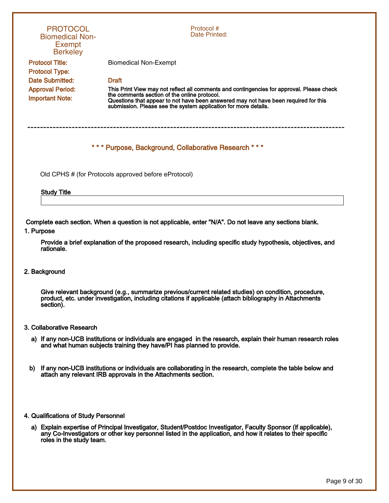| <b>PROTOCOL</b><br><b>Biomedical Non-</b><br><b>Exempt</b><br><b>Berkeley</b>                                                                                                                                                 | Protocol #<br>Date Printed:                                                                                                                                                                                                                                                                         |  |
|-------------------------------------------------------------------------------------------------------------------------------------------------------------------------------------------------------------------------------|-----------------------------------------------------------------------------------------------------------------------------------------------------------------------------------------------------------------------------------------------------------------------------------------------------|--|
| <b>Protocol Title:</b>                                                                                                                                                                                                        | <b>Biomedical Non-Exempt</b>                                                                                                                                                                                                                                                                        |  |
| <b>Protocol Type:</b>                                                                                                                                                                                                         |                                                                                                                                                                                                                                                                                                     |  |
| <b>Date Submitted:</b>                                                                                                                                                                                                        | <b>Draft</b>                                                                                                                                                                                                                                                                                        |  |
| <b>Approval Period:</b><br><b>Important Note:</b>                                                                                                                                                                             | This Print View may not reflect all comments and contingencies for approval. Please check<br>the comments section of the online protocol.<br>Questions that appear to not have been answered may not have been required for this<br>submission. Please see the system application for more details. |  |
| *** Purpose, Background, Collaborative Research ***<br>Old CPHS # (for Protocols approved before eProtocol)                                                                                                                   |                                                                                                                                                                                                                                                                                                     |  |
| <b>Study Title</b>                                                                                                                                                                                                            |                                                                                                                                                                                                                                                                                                     |  |
| 1. Purpose                                                                                                                                                                                                                    | Complete each section. When a question is not applicable, enter "N/A". Do not leave any sections blank.                                                                                                                                                                                             |  |
| Provide a brief explanation of the proposed research, including specific study hypothesis, objectives, and<br>rationale.                                                                                                      |                                                                                                                                                                                                                                                                                                     |  |
| 2. Background                                                                                                                                                                                                                 |                                                                                                                                                                                                                                                                                                     |  |
| Give relevant background (e.g., summarize previous/current related studies) on condition, procedure,<br>product, etc. under investigation, including citations if applicable (attach bibliography in Attachments<br>section). |                                                                                                                                                                                                                                                                                                     |  |
| 3. Collaborative Research                                                                                                                                                                                                     |                                                                                                                                                                                                                                                                                                     |  |
| a) If any non-UCB institutions or individuals are engaged in the research, explain their human research roles<br>and what human subjects training they have/PI has planned to provide.                                        |                                                                                                                                                                                                                                                                                                     |  |

b) If any non-UCB institutions or individuals are collaborating in the research, complete the table below and attach any relevant IRB approvals in the Attachments section.

### 4. Qualifications of Study Personnel

a) Explain expertise of Principal Investigator, Student/Postdoc Investigator, Faculty Sponsor (if applicable), any Co-Investigators or other key personnel listed in the application, and how it relates to their specific roles in the study team.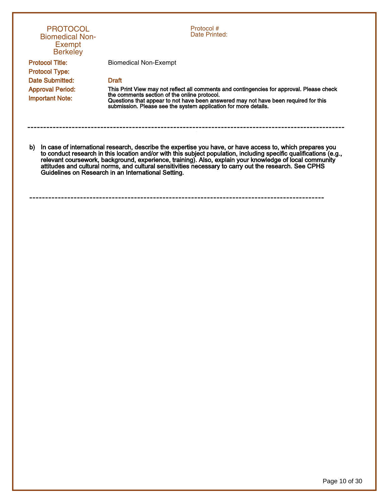| <b>PROTOCOL</b><br><b>Biomedical Non-</b><br>Exempt<br><b>Berkeley</b>                                                                                                                                                                                                                                                                                                                                                                                                                                            | Protocol #<br>Date Printed:                                                                                                                                                                                                                                                                         |
|-------------------------------------------------------------------------------------------------------------------------------------------------------------------------------------------------------------------------------------------------------------------------------------------------------------------------------------------------------------------------------------------------------------------------------------------------------------------------------------------------------------------|-----------------------------------------------------------------------------------------------------------------------------------------------------------------------------------------------------------------------------------------------------------------------------------------------------|
| <b>Protocol Title:</b><br><b>Protocol Type:</b>                                                                                                                                                                                                                                                                                                                                                                                                                                                                   | Biomedical Non-Exempt                                                                                                                                                                                                                                                                               |
| Date Submitted:                                                                                                                                                                                                                                                                                                                                                                                                                                                                                                   | <b>Draft</b>                                                                                                                                                                                                                                                                                        |
| <b>Approval Period:</b><br><b>Important Note:</b>                                                                                                                                                                                                                                                                                                                                                                                                                                                                 | This Print View may not reflect all comments and contingencies for approval. Please check<br>the comments section of the online protocol.<br>Questions that appear to not have been answered may not have been required for this<br>submission. Please see the system application for more details. |
| In case of international research, describe the expertise you have, or have access to, which prepares you<br>b)<br>to conduct research in this location and/or with this subject population, including specific qualifications (e.g.,<br>relevant coursework, background, experience, training). Also, explain your knowledge of local community<br>attitudes and cultural norms, and cultural sensitivities necessary to carry out the research. See CPHS<br>Guidelines on Research in an International Setting. |                                                                                                                                                                                                                                                                                                     |
|                                                                                                                                                                                                                                                                                                                                                                                                                                                                                                                   |                                                                                                                                                                                                                                                                                                     |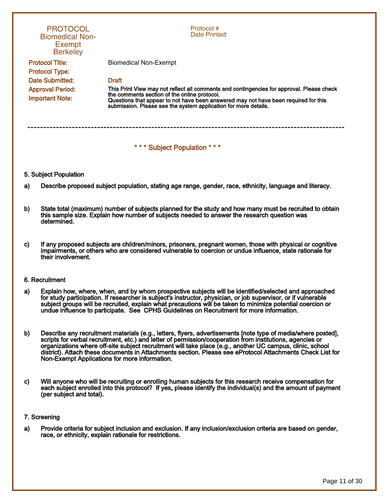| <b>PROTOCOL</b><br><b>Biomedical Non-</b><br><b>Exempt</b><br><b>Berkeley</b> | Protocol#<br>Date Printed:                                                                                                                                                                                                                                                                          |  |
|-------------------------------------------------------------------------------|-----------------------------------------------------------------------------------------------------------------------------------------------------------------------------------------------------------------------------------------------------------------------------------------------------|--|
| <b>Protocol Title:</b><br><b>Protocol Type:</b>                               | Biomedical Non-Exempt                                                                                                                                                                                                                                                                               |  |
| Date Submitted:                                                               | <b>Draft</b>                                                                                                                                                                                                                                                                                        |  |
| <b>Approval Period:</b><br><b>Important Note:</b>                             | This Print View may not reflect all comments and contingencies for approval. Please check<br>the comments section of the online protocol.<br>Questions that appear to not have been answered may not have been required for this<br>submission. Please see the system application for more details. |  |
|                                                                               |                                                                                                                                                                                                                                                                                                     |  |
| *** Subject Population ***                                                    |                                                                                                                                                                                                                                                                                                     |  |

#### 5. Subject Population

- a) Describe proposed subject population, stating age range, gender, race, ethnicity, language and literacy.
- b) State total (maximum) number of subjects planned for the study and how many must be recruited to obtain this sample size. Explain how number of subjects needed to answer the research question was determined.
- c) If any proposed subjects are children/minors, prisoners, pregnant women, those with physical or cognitive impairments, or others who are considered vulnerable to coercion or undue influence, state rationale for their involvement.

#### 6. Recruitment

- a) Explain how, where, when, and by whom prospective subjects will be identified/selected and approached for study participation. If researcher is subject's instructor, physician, or job supervisor, or if vulnerable subject groups will be recruited, explain what precautions will be taken to minimize potential coercion or undue influence to participate. See CPHS Guidelines on Recruitment for more information.
- b) Describe any recruitment materials (e.g., letters, flyers, advertisements [note type of media/where posted], scripts for verbal recruitment, etc.) and letter of permission/cooperation from institutions, agencies or organizations where off-site subject recruitment will take place (e.g., another UC campus, clinic, school district). Attach these documents in Attachments section. Please see eProtocol Attachments Check List for Non-Exempt Applications for more information.
- c) Will anyone who will be recruiting or enrolling human subjects for this research receive compensation for each subject enrolled into this protocol? If yes, please identify the individual(s) and the amount of payment (per subject and total).

#### 7. Screening

a) Provide criteria for subject inclusion and exclusion. If any inclusion/exclusion criteria are based on gender, race, or ethnicity, explain rationale for restrictions.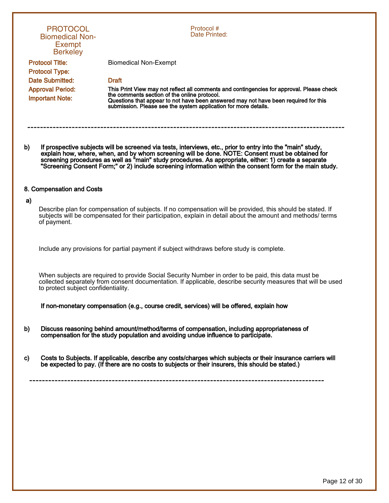|              | <b>PROTOCOL</b><br><b>Biomedical Non-</b><br><b>Exempt</b><br><b>Berkeley</b> | Protocol#<br>Date Printed:                                                                                                                                                                                                                                                                                                                                                                                                            |
|--------------|-------------------------------------------------------------------------------|---------------------------------------------------------------------------------------------------------------------------------------------------------------------------------------------------------------------------------------------------------------------------------------------------------------------------------------------------------------------------------------------------------------------------------------|
|              | <b>Protocol Title:</b>                                                        | <b>Biomedical Non-Exempt</b>                                                                                                                                                                                                                                                                                                                                                                                                          |
|              | <b>Protocol Type:</b>                                                         |                                                                                                                                                                                                                                                                                                                                                                                                                                       |
|              | <b>Date Submitted:</b>                                                        | <b>Draft</b>                                                                                                                                                                                                                                                                                                                                                                                                                          |
|              | <b>Approval Period:</b><br><b>Important Note:</b>                             | This Print View may not reflect all comments and contingencies for approval. Please check<br>the comments section of the online protocol.<br>Questions that appear to not have been answered may not have been required for this<br>submission. Please see the system application for more details.                                                                                                                                   |
| b)           |                                                                               | If prospective subjects will be screened via tests, interviews, etc., prior to entry into the "main" study,<br>explain how, where, when, and by whom screening will be done. NOTE: Consent must be obtained for<br>screening procedures as well as "main" study procedures. As appropriate, either: 1) create a separate<br>"Screening Consent Form;" or 2) include screening information within the consent form for the main study. |
|              | 8. Compensation and Costs                                                     |                                                                                                                                                                                                                                                                                                                                                                                                                                       |
| a)           | of payment.                                                                   | Describe plan for compensation of subjects. If no compensation will be provided, this should be stated. If<br>subjects will be compensated for their participation, explain in detail about the amount and methods/ terms                                                                                                                                                                                                             |
|              |                                                                               | Include any provisions for partial payment if subject withdraws before study is complete.                                                                                                                                                                                                                                                                                                                                             |
|              | to protect subject confidentiality.                                           | When subjects are required to provide Social Security Number in order to be paid, this data must be<br>collected separately from consent documentation. If applicable, describe security measures that will be used                                                                                                                                                                                                                   |
|              |                                                                               | If non-monetary compensation (e.g., course credit, services) will be offered, explain how                                                                                                                                                                                                                                                                                                                                             |
| b)           |                                                                               | Discuss reasoning behind amount/method/terms of compensation, including appropriateness of<br>compensation for the study population and avoiding undue influence to participate.                                                                                                                                                                                                                                                      |
| $\mathbf{c}$ |                                                                               | Costs to Subjects. If applicable, describe any costs/charges which subjects or their insurance carriers will<br>be expected to pay. (If there are no costs to subjects or their insurers, this should be stated.)                                                                                                                                                                                                                     |
|              |                                                                               |                                                                                                                                                                                                                                                                                                                                                                                                                                       |
|              |                                                                               |                                                                                                                                                                                                                                                                                                                                                                                                                                       |
|              |                                                                               |                                                                                                                                                                                                                                                                                                                                                                                                                                       |
|              |                                                                               |                                                                                                                                                                                                                                                                                                                                                                                                                                       |
|              |                                                                               |                                                                                                                                                                                                                                                                                                                                                                                                                                       |
|              |                                                                               |                                                                                                                                                                                                                                                                                                                                                                                                                                       |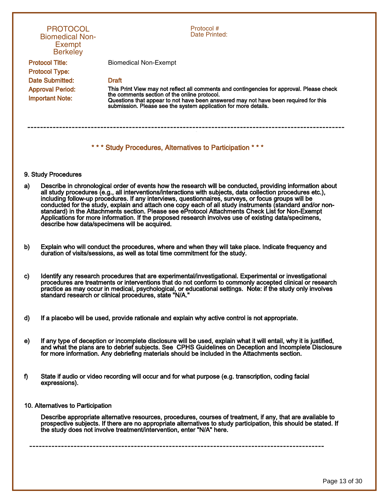| <b>PROTOCOL</b><br><b>Biomedical Non-</b><br><b>Exempt</b><br><b>Berkeley</b>  | Protocol #<br>Date Printed:                                                                                                                                                                                                                                                                                                                                                                                                                                                                                                                                                                                                                                                                              |  |
|--------------------------------------------------------------------------------|----------------------------------------------------------------------------------------------------------------------------------------------------------------------------------------------------------------------------------------------------------------------------------------------------------------------------------------------------------------------------------------------------------------------------------------------------------------------------------------------------------------------------------------------------------------------------------------------------------------------------------------------------------------------------------------------------------|--|
| <b>Protocol Title:</b>                                                         | <b>Biomedical Non-Exempt</b>                                                                                                                                                                                                                                                                                                                                                                                                                                                                                                                                                                                                                                                                             |  |
| <b>Protocol Type:</b>                                                          |                                                                                                                                                                                                                                                                                                                                                                                                                                                                                                                                                                                                                                                                                                          |  |
| <b>Date Submitted:</b>                                                         | <b>Draft</b>                                                                                                                                                                                                                                                                                                                                                                                                                                                                                                                                                                                                                                                                                             |  |
| <b>Approval Period:</b><br><b>Important Note:</b>                              | This Print View may not reflect all comments and contingencies for approval. Please check<br>the comments section of the online protocol.<br>Questions that appear to not have been answered may not have been required for this<br>submission. Please see the system application for more details.                                                                                                                                                                                                                                                                                                                                                                                                      |  |
| *** Study Procedures, Alternatives to Participation ***<br>9. Study Procedures |                                                                                                                                                                                                                                                                                                                                                                                                                                                                                                                                                                                                                                                                                                          |  |
| a)                                                                             | Describe in chronological order of events how the research will be conducted, providing information about<br>all study procedures (e.g., all interventions/interactions with subjects, data collection procedures etc.),<br>including follow-up procedures. If any interviews, questionnaires, surveys, or focus groups will be<br>conducted for the study, explain and attach one copy each of all study instruments (standard and/or non-<br>standard) in the Attachments section. Please see eProtocol Attachments Check List for Non-Exempt<br>Applications for more information. If the proposed research involves use of existing data/specimens,<br>describe how data/specimens will be acquired. |  |
| b)                                                                             | Explain who will conduct the procedures, where and when they will take place. Indicate frequency and<br>duration of visits/sessions, as well as total time commitment for the study.                                                                                                                                                                                                                                                                                                                                                                                                                                                                                                                     |  |
| C)                                                                             | Identify any research procedures that are experimental/investigational. Experimental or investigational<br>procedures are treatments or interventions that do not conform to commonly accepted clinical or research<br>practice as may occur in medical, psychological, or educational settings. Note: if the study only involves<br>standard research or clinical procedures, state "N/A."                                                                                                                                                                                                                                                                                                              |  |
| d)                                                                             | If a placebo will be used, provide rationale and explain why active control is not appropriate.                                                                                                                                                                                                                                                                                                                                                                                                                                                                                                                                                                                                          |  |

- e) If any type of deception or incomplete disclosure will be used, explain what it will entail, why it is justified, and what the plans are to debrief subjects. See CPHS Guidelines on Deception and Incomplete Disclosure for more information. Any debriefing materials should be included in the Attachments section.
- f) State if audio or video recording will occur and for what purpose (e.g. transcription, coding facial expressions).
- 10. Alternatives to Participation

Describe appropriate alternative resources, procedures, courses of treatment, if any, that are available to prospective subjects. If there are no appropriate alternatives to study participation, this should be stated. If the study does not involve treatment/intervention, enter "N/A" here.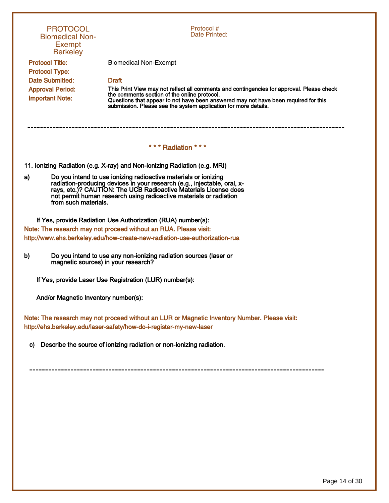| <b>PROTOCOL</b><br><b>Biomedical Non-</b><br><b>Exempt</b><br><b>Berkeley</b>                                                                                                                                                                                                                                       | Protocol #<br>Date Printed:                                                                                                                                                                                                                                                                         |  |
|---------------------------------------------------------------------------------------------------------------------------------------------------------------------------------------------------------------------------------------------------------------------------------------------------------------------|-----------------------------------------------------------------------------------------------------------------------------------------------------------------------------------------------------------------------------------------------------------------------------------------------------|--|
| <b>Protocol Title:</b><br><b>Protocol Type:</b>                                                                                                                                                                                                                                                                     | <b>Biomedical Non-Exempt</b>                                                                                                                                                                                                                                                                        |  |
| <b>Date Submitted:</b>                                                                                                                                                                                                                                                                                              | <b>Draft</b>                                                                                                                                                                                                                                                                                        |  |
| <b>Approval Period:</b><br><b>Important Note:</b>                                                                                                                                                                                                                                                                   | This Print View may not reflect all comments and contingencies for approval. Please check<br>the comments section of the online protocol.<br>Questions that appear to not have been answered may not have been required for this<br>submission. Please see the system application for more details. |  |
|                                                                                                                                                                                                                                                                                                                     | *** Radiation ***                                                                                                                                                                                                                                                                                   |  |
| 11. Ionizing Radiation (e.g. X-ray) and Non-ionizing Radiation (e.g. MRI)                                                                                                                                                                                                                                           |                                                                                                                                                                                                                                                                                                     |  |
| Do you intend to use ionizing radioactive materials or ionizing<br>a)<br>radiation-producing devices in your research (e.g., injectable, oral, x-<br>rays, etc.)? CAUTION: The UCB Radioactive Materials License does<br>not permit human research using radioactive materials or radiation<br>from such materials. |                                                                                                                                                                                                                                                                                                     |  |
|                                                                                                                                                                                                                                                                                                                     | If Yes, provide Radiation Use Authorization (RUA) number(s):                                                                                                                                                                                                                                        |  |
|                                                                                                                                                                                                                                                                                                                     | Note: The research may not proceed without an RUA. Please visit:                                                                                                                                                                                                                                    |  |
| http://www.ehs.berkeley.edu/how-create-new-radiation-use-authorization-rua                                                                                                                                                                                                                                          |                                                                                                                                                                                                                                                                                                     |  |
| Do you intend to use any non-ionizing radiation sources (laser or<br>b)<br>magnetic sources) in your research?                                                                                                                                                                                                      |                                                                                                                                                                                                                                                                                                     |  |
| If Yes, provide Laser Use Registration (LUR) number(s):                                                                                                                                                                                                                                                             |                                                                                                                                                                                                                                                                                                     |  |
| And/or Magnetic Inventory number(s):                                                                                                                                                                                                                                                                                |                                                                                                                                                                                                                                                                                                     |  |
| Note: The research may not proceed without an LUR or Magnetic Inventory Number. Please visit:<br>http://ehs.berkeley.edu/laser-safety/how-do-i-register-my-new-laser                                                                                                                                                |                                                                                                                                                                                                                                                                                                     |  |
| C)                                                                                                                                                                                                                                                                                                                  | Describe the source of ionizing radiation or non-ionizing radiation.                                                                                                                                                                                                                                |  |
|                                                                                                                                                                                                                                                                                                                     |                                                                                                                                                                                                                                                                                                     |  |
|                                                                                                                                                                                                                                                                                                                     |                                                                                                                                                                                                                                                                                                     |  |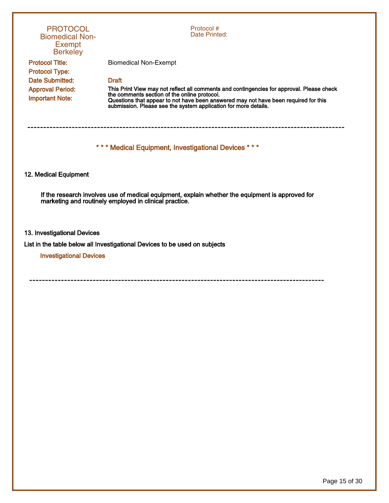| <b>PROTOCOL</b><br><b>Biomedical Non-</b><br><b>Exempt</b><br><b>Berkeley</b> | Protocol#<br>Date Printed:                                                                                                                                                                                                                                                                          |
|-------------------------------------------------------------------------------|-----------------------------------------------------------------------------------------------------------------------------------------------------------------------------------------------------------------------------------------------------------------------------------------------------|
| <b>Protocol Title:</b>                                                        | <b>Biomedical Non-Exempt</b>                                                                                                                                                                                                                                                                        |
| <b>Protocol Type:</b><br><b>Date Submitted:</b>                               | <b>Draft</b>                                                                                                                                                                                                                                                                                        |
| <b>Approval Period:</b><br><b>Important Note:</b>                             | This Print View may not reflect all comments and contingencies for approval. Please check<br>the comments section of the online protocol.<br>Questions that appear to not have been answered may not have been required for this<br>submission. Please see the system application for more details. |
|                                                                               | ---------------------------------<br>*** Medical Equipment, Investigational Devices ***                                                                                                                                                                                                             |
|                                                                               |                                                                                                                                                                                                                                                                                                     |
| 12. Medical Equipment                                                         |                                                                                                                                                                                                                                                                                                     |
|                                                                               | If the research involves use of medical equipment, explain whether the equipment is approved for<br>marketing and routinely employed in clinical practice.                                                                                                                                          |
| 13. Investigational Devices                                                   |                                                                                                                                                                                                                                                                                                     |
| <b>Investigational Devices</b>                                                | List in the table below all Investigational Devices to be used on subjects                                                                                                                                                                                                                          |
|                                                                               |                                                                                                                                                                                                                                                                                                     |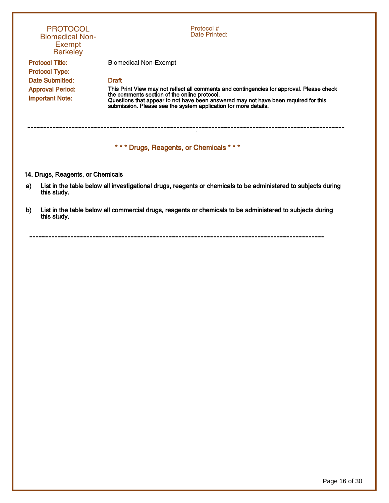|    | <b>PROTOCOL</b><br><b>Biomedical Non-</b><br><b>Exempt</b><br><b>Berkeley</b> | Protocol#<br>Date Printed:                                                                                                                                                                                                                                                                          |
|----|-------------------------------------------------------------------------------|-----------------------------------------------------------------------------------------------------------------------------------------------------------------------------------------------------------------------------------------------------------------------------------------------------|
|    | <b>Protocol Title:</b>                                                        | <b>Biomedical Non-Exempt</b>                                                                                                                                                                                                                                                                        |
|    | <b>Protocol Type:</b><br>Date Submitted:                                      | <b>Draft</b>                                                                                                                                                                                                                                                                                        |
|    | <b>Approval Period:</b><br><b>Important Note:</b>                             | This Print View may not reflect all comments and contingencies for approval. Please check<br>the comments section of the online protocol.<br>Questions that appear to not have been answered may not have been required for this<br>submission. Please see the system application for more details. |
|    |                                                                               | *** Drugs, Reagents, or Chemicals ***                                                                                                                                                                                                                                                               |
|    | 14. Drugs, Reagents, or Chemicals                                             |                                                                                                                                                                                                                                                                                                     |
| a) | this study.                                                                   | List in the table below all investigational drugs, reagents or chemicals to be administered to subjects during                                                                                                                                                                                      |
| b) | this study.                                                                   | List in the table below all commercial drugs, reagents or chemicals to be administered to subjects during                                                                                                                                                                                           |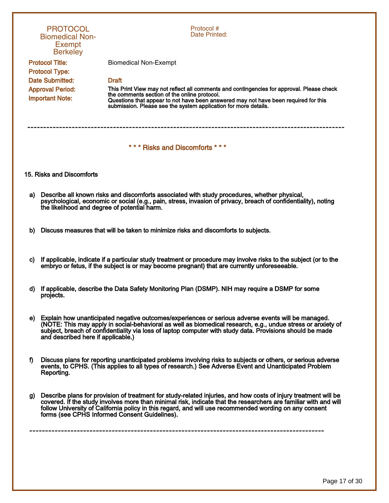|    | <b>PROTOCOL</b><br><b>Biomedical Non-</b><br><b>Exempt</b><br><b>Berkeley</b> | Protocol #<br>Date Printed:                                                                                                                                                                                                                                                                                                                                                                   |
|----|-------------------------------------------------------------------------------|-----------------------------------------------------------------------------------------------------------------------------------------------------------------------------------------------------------------------------------------------------------------------------------------------------------------------------------------------------------------------------------------------|
|    | <b>Protocol Title:</b>                                                        | <b>Biomedical Non-Exempt</b>                                                                                                                                                                                                                                                                                                                                                                  |
|    | <b>Protocol Type:</b>                                                         |                                                                                                                                                                                                                                                                                                                                                                                               |
|    | <b>Date Submitted:</b>                                                        | <b>Draft</b>                                                                                                                                                                                                                                                                                                                                                                                  |
|    | <b>Approval Period:</b><br><b>Important Note:</b>                             | This Print View may not reflect all comments and contingencies for approval. Please check<br>the comments section of the online protocol.<br>Questions that appear to not have been answered may not have been required for this<br>submission. Please see the system application for more details.                                                                                           |
|    |                                                                               | *** Risks and Discomforts ***                                                                                                                                                                                                                                                                                                                                                                 |
|    | 15. Risks and Discomforts                                                     |                                                                                                                                                                                                                                                                                                                                                                                               |
| a) | the likelihood and degree of potential harm.                                  | Describe all known risks and discomforts associated with study procedures, whether physical,<br>psychological, economic or social (e.g., pain, stress, invasion of privacy, breach of confidentiality), noting                                                                                                                                                                                |
| b) |                                                                               | Discuss measures that will be taken to minimize risks and discomforts to subjects.                                                                                                                                                                                                                                                                                                            |
| C) |                                                                               | If applicable, indicate if a particular study treatment or procedure may involve risks to the subject (or to the<br>embryo or fetus, if the subject is or may become pregnant) that are currently unforeseeable.                                                                                                                                                                              |
| d) | projects.                                                                     | If applicable, describe the Data Safety Monitoring Plan (DSMP). NIH may require a DSMP for some                                                                                                                                                                                                                                                                                               |
|    | and described here if applicable.)                                            | e) Explain how unanticipated negative outcomes/experiences or serious adverse events will be managed.<br>(NOTE: This may apply in social-behavioral as well as biomedical research, e.g., undue stress or anxiety of<br>subject, breach of confidentiality via loss of laptop computer with study data. Provisions should be made                                                             |
| f) | Reporting.                                                                    | Discuss plans for reporting unanticipated problems involving risks to subjects or others, or serious adverse<br>events, to CPHS. (This applies to all types of research.) See Adverse Event and Unanticipated Problem                                                                                                                                                                         |
| g) |                                                                               | Describe plans for provision of treatment for study-related injuries, and how costs of injury treatment will be<br>covered. If the study involves more than minimal risk, indicate that the researchers are familiar with and will<br>follow University of California policy in this regard, and will use recommended wording on any consent<br>forms (see CPHS Informed Consent Guidelines). |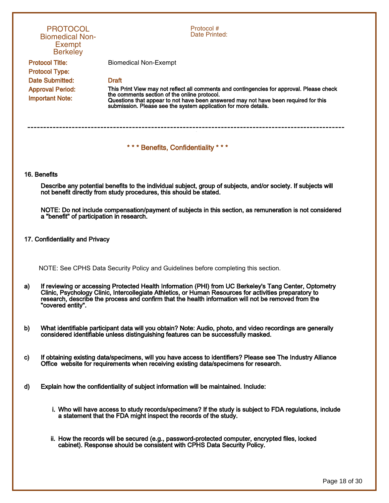|              | <b>PROTOCOL</b><br><b>Biomedical Non-</b><br><b>Exempt</b><br><b>Berkeley</b> | Protocol #<br>Date Printed:                                                                                                                                                                                                                                                                                             |
|--------------|-------------------------------------------------------------------------------|-------------------------------------------------------------------------------------------------------------------------------------------------------------------------------------------------------------------------------------------------------------------------------------------------------------------------|
|              | <b>Protocol Title:</b><br><b>Protocol Type:</b>                               | <b>Biomedical Non-Exempt</b>                                                                                                                                                                                                                                                                                            |
|              | Date Submitted:                                                               | <b>Draft</b>                                                                                                                                                                                                                                                                                                            |
|              | <b>Approval Period:</b><br><b>Important Note:</b>                             | This Print View may not reflect all comments and contingencies for approval. Please check<br>the comments section of the online protocol.<br>Questions that appear to not have been answered may not have been required for this<br>submission. Please see the system application for more details.                     |
|              |                                                                               | *** Benefits, Confidentiality ***                                                                                                                                                                                                                                                                                       |
|              | 16. Benefits                                                                  |                                                                                                                                                                                                                                                                                                                         |
|              |                                                                               | Describe any potential benefits to the individual subject, group of subjects, and/or society. If subjects will<br>not benefit directly from study procedures, this should be stated.                                                                                                                                    |
|              | a "benefit" of participation in research.                                     | NOTE: Do not include compensation/payment of subjects in this section, as remuneration is not considered                                                                                                                                                                                                                |
|              | 17. Confidentiality and Privacy                                               |                                                                                                                                                                                                                                                                                                                         |
|              |                                                                               | NOTE: See CPHS Data Security Policy and Guidelines before completing this section.                                                                                                                                                                                                                                      |
| a)           | "covered entity".                                                             | If reviewing or accessing Protected Health Information (PHI) from UC Berkeley's Tang Center, Optometry<br>Clinic, Psychology Clinic, Intercollegiate Athletics, or Human Resources for activities preparatory to<br>research, describe the process and confirm that the health information will not be removed from the |
| b)           |                                                                               | What identifiable participant data will you obtain? Note: Audio, photo, and video recordings are generally<br>considered identifiable unless distinguishing features can be successfully masked.                                                                                                                        |
| $\mathbf{c}$ |                                                                               | If obtaining existing data/specimens, will you have access to identifiers? Please see The Industry Alliance<br>Office website for requirements when receiving existing data/specimens for research.                                                                                                                     |
| d)           |                                                                               | Explain how the confidentiality of subject information will be maintained. Include:                                                                                                                                                                                                                                     |
|              |                                                                               | i. Who will have access to study records/specimens? If the study is subject to FDA regulations, include<br>a statement that the FDA might inspect the records of the study.                                                                                                                                             |
|              |                                                                               | ii. How the records will be secured (e.g., password-protected computer, encrypted files, locked<br>cabinet). Response should be consistent with CPHS Data Security Policy.                                                                                                                                              |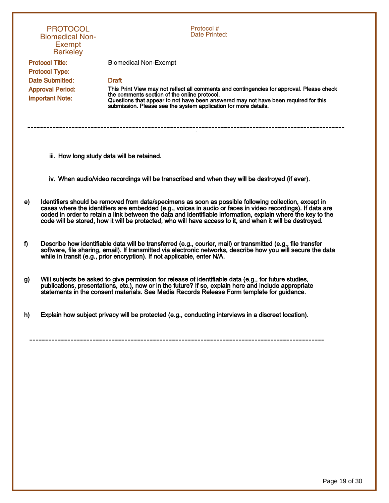|    | <b>PROTOCOL</b><br><b>Biomedical Non-</b><br><b>Exempt</b><br><b>Berkeley</b> | Protocol #<br>Date Printed:                                                                                                                                                                                                                                                                                                                                                                                                                     |
|----|-------------------------------------------------------------------------------|-------------------------------------------------------------------------------------------------------------------------------------------------------------------------------------------------------------------------------------------------------------------------------------------------------------------------------------------------------------------------------------------------------------------------------------------------|
|    | <b>Protocol Title:</b>                                                        | <b>Biomedical Non-Exempt</b>                                                                                                                                                                                                                                                                                                                                                                                                                    |
|    | <b>Protocol Type:</b>                                                         |                                                                                                                                                                                                                                                                                                                                                                                                                                                 |
|    | <b>Date Submitted:</b>                                                        | <b>Draft</b>                                                                                                                                                                                                                                                                                                                                                                                                                                    |
|    | <b>Approval Period:</b><br><b>Important Note:</b>                             | This Print View may not reflect all comments and contingencies for approval. Please check<br>the comments section of the online protocol.<br>Questions that appear to not have been answered may not have been required for this<br>submission. Please see the system application for more details.                                                                                                                                             |
|    |                                                                               |                                                                                                                                                                                                                                                                                                                                                                                                                                                 |
|    |                                                                               | iii. How long study data will be retained.                                                                                                                                                                                                                                                                                                                                                                                                      |
|    |                                                                               | iv. When audio/video recordings will be transcribed and when they will be destroyed (if ever).                                                                                                                                                                                                                                                                                                                                                  |
| e) |                                                                               | Identifiers should be removed from data/specimens as soon as possible following collection, except in<br>cases where the identifiers are embedded (e.g., voices in audio or faces in video recordings). If data are<br>coded in order to retain a link between the data and identifiable information, explain where the key to the<br>code will be stored, how it will be protected, who will have access to it, and when it will be destroyed. |
| f) |                                                                               | Describe how identifiable data will be transferred (e.g., courier, mail) or transmitted (e.g., file transfer<br>software, file sharing, email). If transmitted via electronic networks, describe how you will secure the data<br>while in transit (e.g., prior encryption). If not applicable, enter N/A.                                                                                                                                       |
| g) |                                                                               | Will subjects be asked to give permission for release of identifiable data (e.g., for future studies,<br>publications, presentations, etc.), now or in the future? If so, explain here and include appropriate<br>statements in the consent materials. See Media Records Release Form template for guidance.                                                                                                                                    |
| h) |                                                                               | Explain how subject privacy will be protected (e.g., conducting interviews in a discreet location).                                                                                                                                                                                                                                                                                                                                             |
|    |                                                                               |                                                                                                                                                                                                                                                                                                                                                                                                                                                 |
|    |                                                                               |                                                                                                                                                                                                                                                                                                                                                                                                                                                 |
|    |                                                                               |                                                                                                                                                                                                                                                                                                                                                                                                                                                 |
|    |                                                                               |                                                                                                                                                                                                                                                                                                                                                                                                                                                 |
|    |                                                                               |                                                                                                                                                                                                                                                                                                                                                                                                                                                 |
|    |                                                                               |                                                                                                                                                                                                                                                                                                                                                                                                                                                 |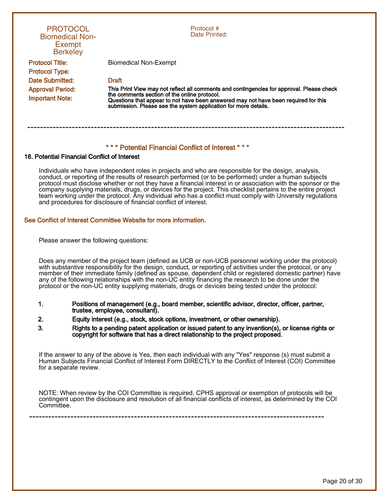| <b>PROTOCOL</b><br><b>Biomedical Non-</b><br><b>Exempt</b><br><b>Berkeley</b> | Protocol #<br>Date Printed:                                                                                                                                                                                                                                                                         |
|-------------------------------------------------------------------------------|-----------------------------------------------------------------------------------------------------------------------------------------------------------------------------------------------------------------------------------------------------------------------------------------------------|
| <b>Protocol Title:</b><br><b>Protocol Type:</b>                               | <b>Biomedical Non-Exempt</b>                                                                                                                                                                                                                                                                        |
| Date Submitted:                                                               | <b>Draft</b>                                                                                                                                                                                                                                                                                        |
| <b>Approval Period:</b><br><b>Important Note:</b>                             | This Print View may not reflect all comments and contingencies for approval. Please check<br>the comments section of the online protocol.<br>Questions that appear to not have been answered may not have been required for this<br>submission. Please see the system application for more details. |
|                                                                               | *** Potential Financial Conflict of Interest ***                                                                                                                                                                                                                                                    |

### 18. Potential Financial Conflict of Interest

Individuals who have independent roles in projects and who are responsible for the design, analysis, conduct, or reporting of the results of research performed (or to be performed) under a human subjects protocol must disclose whether or not they have a financial interest in or association with the sponsor or the company supplying materials, drugs, or devices for the project. This checklist pertains to the entire project team working under the protocol. Any individual who has a conflict must comply with University regulations and procedures for disclosure of financial conflict of interest.

## See Conflict of Interest Committee Website for more information.

Please answer the following questions:

Does any member of the project team (defined as UCB or non-UCB personnel working under the protocol) with substantive responsibility for the design, conduct, or reporting of activities under the protocol, or any member of their immediate family (defined as spouse, dependent child or registered domestic partner) have any of the following relationships with the non-UC entity financing the research to be done under the protocol or the non-UC entity supplying materials, drugs or devices being tested under the protocol:

- 1. Positions of management (e.g., board member, scientific advisor, director, officer, partner, trustee, employee, consultant).
- 2. Equity interest (e.g., stock, stock options, investment, or other ownership).
- 3. Rights to a pending patent application or issued patent to any invention(s), or license rights or copyright for software that has a direct relationship to the project proposed.

If the answer to any of the above is Yes, then each individual with any "Yes" response (s) must submit a Human Subjects Financial Conflict of Interest Form DIRECTLY to the Conflict of Interest (COI) Committee for a separate review.

NOTE: When review by the COI Committee is required, CPHS approval or exemption of protocols will be contingent upon the disclosure and resolution of all financial conflicts of interest, as determined by the COI Committee.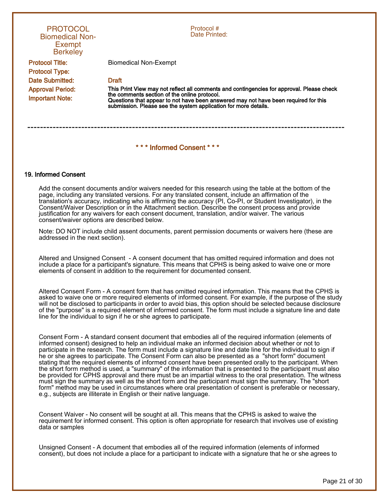| <b>PROTOCOL</b><br><b>Biomedical Non-</b><br>Exempt<br><b>Berkeley</b> | Protocol#<br>Date Printed:                                                                                                                                                                                                                                                                          |
|------------------------------------------------------------------------|-----------------------------------------------------------------------------------------------------------------------------------------------------------------------------------------------------------------------------------------------------------------------------------------------------|
| <b>Protocol Title:</b><br><b>Protocol Type:</b>                        | Biomedical Non-Exempt                                                                                                                                                                                                                                                                               |
| Date Submitted:                                                        | <b>Draft</b>                                                                                                                                                                                                                                                                                        |
| <b>Approval Period:</b><br><b>Important Note:</b>                      | This Print View may not reflect all comments and contingencies for approval. Please check<br>the comments section of the online protocol.<br>Questions that appear to not have been answered may not have been required for this<br>submission. Please see the system application for more details. |
|                                                                        | *** Informed Consent ***                                                                                                                                                                                                                                                                            |

#### 19. Informed Consent

Add the consent documents and/or waivers needed for this research using the table at the bottom of the page, including any translated versions. For any translated consent, include an affirmation of the translation's accuracy, indicating who is affirming the accuracy (PI, Co-PI, or Student Investigator), in the Consent/Waiver Description or in the Attachment section. Describe the consent process and provide justification for any waivers for each consent document, translation, and/or waiver. The various consent/waiver options are described below.

Note: DO NOT include child assent documents, parent permission documents or waivers here (these are addressed in the next section).

Altered and Unsigned Consent - A consent document that has omitted required information and does not include a place for a participant's signature. This means that CPHS is being asked to waive one or more elements of consent in addition to the requirement for documented consent.

Altered Consent Form - A consent form that has omitted required information. This means that the CPHS is asked to waive one or more required elements of informed consent. For example, if the purpose of the study will not be disclosed to participants in order to avoid bias, this option should be selected because disclosure of the "purpose" is a required element of informed consent. The form must include a signature line and date line for the individual to sign if he or she agrees to participate.

Consent Form - A standard consent document that embodies all of the required information (elements of informed consent) designed to help an individual make an informed decision about whether or not to participate in the research. The form must include a signature line and date line for the individual to sign if he or she agrees to participate. The Consent Form can also be presented as a "short form" document stating that the required elements of informed consent have been presented orally to the participant. When the short form method is used, a "summary" of the information that is presented to the participant must also be provided for CPHS approval and there must be an impartial witness to the oral presentation. The witness must sign the summary as well as the short form and the participant must sign the summary. The "short form" method may be used in circumstances where oral presentation of consent is preferable or necessary, e.g., subjects are illiterate in English or their native language.

Consent Waiver - No consent will be sought at all. This means that the CPHS is asked to waive the requirement for informed consent. This option is often appropriate for research that involves use of existing data or samples

Unsigned Consent - A document that embodies all of the required information (elements of informed consent), but does not include a place for a participant to indicate with a signature that he or she agrees to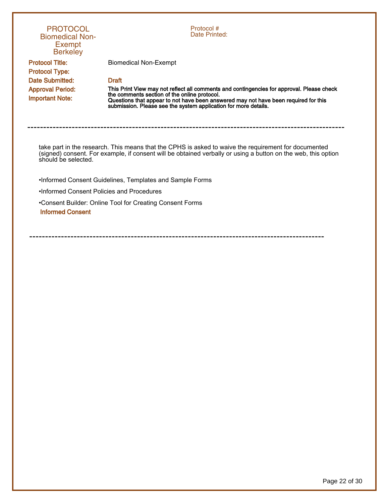| <b>PROTOCOL</b><br><b>Biomedical Non-</b><br><b>Exempt</b><br><b>Berkeley</b>                                                                                                                                                                | Protocol #<br>Date Printed:                                                                                                                                                                            |  |
|----------------------------------------------------------------------------------------------------------------------------------------------------------------------------------------------------------------------------------------------|--------------------------------------------------------------------------------------------------------------------------------------------------------------------------------------------------------|--|
| <b>Protocol Title:</b><br><b>Protocol Type:</b><br>Date Submitted:<br><b>Approval Period:</b>                                                                                                                                                | <b>Biomedical Non-Exempt</b><br><b>Draft</b><br>This Print View may not reflect all comments and contingencies for approval. Please check                                                              |  |
| <b>Important Note:</b>                                                                                                                                                                                                                       | the comments section of the online protocol.<br>Questions that appear to not have been answered may not have been required for this<br>submission. Please see the system application for more details. |  |
| take part in the research. This means that the CPHS is asked to waive the requirement for documented<br>(signed) consent. For example, if consent will be obtained verbally or using a button on the web, this option<br>should be selected. |                                                                                                                                                                                                        |  |
|                                                                                                                                                                                                                                              | . Informed Consent Guidelines, Templates and Sample Forms                                                                                                                                              |  |
| .Informed Consent Policies and Procedures                                                                                                                                                                                                    |                                                                                                                                                                                                        |  |
| <b>Informed Consent</b>                                                                                                                                                                                                                      | •Consent Builder: Online Tool for Creating Consent Forms                                                                                                                                               |  |
|                                                                                                                                                                                                                                              |                                                                                                                                                                                                        |  |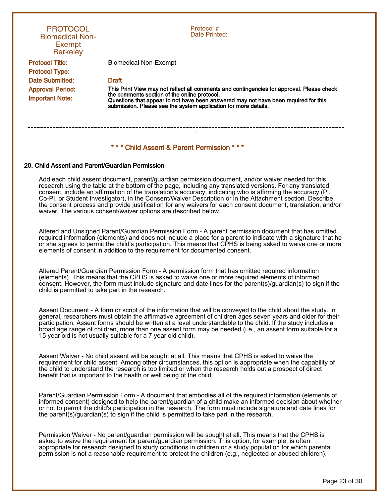| <b>PROTOCOL</b><br><b>Biomedical Non-</b><br>Exempt<br><b>Berkeley</b> | Protocol #<br>Date Printed:                                                                                                                                                                            |
|------------------------------------------------------------------------|--------------------------------------------------------------------------------------------------------------------------------------------------------------------------------------------------------|
| <b>Protocol Title:</b><br><b>Protocol Type:</b>                        | Biomedical Non-Exempt                                                                                                                                                                                  |
| Date Submitted:<br><b>Approval Period:</b>                             | <b>Draft</b><br>This Print View may not reflect all comments and contingencies for approval. Please check                                                                                              |
| <b>Important Note:</b>                                                 | the comments section of the online protocol.<br>Questions that appear to not have been answered may not have been required for this<br>submission. Please see the system application for more details. |
|                                                                        | *** Child Assent & Parent Permission                                                                                                                                                                   |

#### 20. Child Assent and Parent/Guardian Permission

Add each child assent document, parent/guardian permission document, and/or waiver needed for this research using the table at the bottom of the page, including any translated versions. For any translated consent, include an affirmation of the translation's accuracy, indicating who is affirming the accuracy (PI, Co-PI, or Student Investigator), in the Consent/Waiver Description or in the Attachment section. Describe the consent process and provide justification for any waivers for each consent document, translation, and/or waiver. The various consent/waiver options are described below.

Altered and Unsigned Parent/Guardian Permission Form - A parent permission document that has omitted required information (elements) and does not include a place for a parent to indicate with a signature that he or she agrees to permit the child's participation. This means that CPHS is being asked to waive one or more elements of consent in addition to the requirement for documented consent.

Altered Parent/Guardian Permission Form - A permission form that has omitted required information (elements). This means that the CPHS is asked to waive one or more required elements of informed consent. However, the form must include signature and date lines for the parent(s)/guardian(s) to sign if the child is permitted to take part in the research.

Assent Document - A form or script of the information that will be conveyed to the child about the study. In general, researchers must obtain the affirmative agreement of children ages seven years and older for their participation. Assent forms should be written at a level understandable to the child. If the study includes a broad age range of children, more than one assent form may be needed (i.e., an assent form suitable for a 15 year old is not usually suitable for a 7 year old child).

Assent Waiver - No child assent will be sought at all. This means that CPHS is asked to waive the requirement for child assent. Among other circumstances, this option is appropriate when the capability of the child to understand the research is too limited or when the research holds out a prospect of direct benefit that is important to the health or well being of the child.

Parent/Guardian Permission Form - A document that embodies all of the required information (elements of informed consent) designed to help the parent/guardian of a child make an informed decision about whether or not to permit the child's participation in the research. The form must include signature and date lines for the parent(s)/guardian(s) to sign if the child is permitted to take part in the research.

Permission Waiver - No parent/guardian permission will be sought at all. This means that the CPHS is asked to waive the requirement for parent/guardian permission. This option, for example, is often appropriate for research designed to study conditions in children or a study population for which parental permission is not a reasonable requirement to protect the children (e.g., neglected or abused children).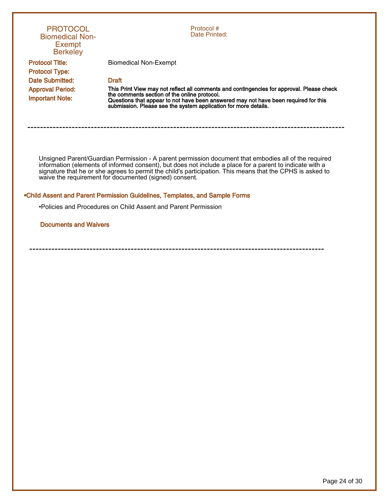| <b>PROTOCOL</b><br><b>Biomedical Non-</b><br><b>Exempt</b><br><b>Berkeley</b> | Protocol #<br>Date Printed:                                                                                                                                                                                                                                                                                                                                                             |
|-------------------------------------------------------------------------------|-----------------------------------------------------------------------------------------------------------------------------------------------------------------------------------------------------------------------------------------------------------------------------------------------------------------------------------------------------------------------------------------|
| <b>Protocol Title:</b>                                                        | <b>Biomedical Non-Exempt</b>                                                                                                                                                                                                                                                                                                                                                            |
| <b>Protocol Type:</b>                                                         |                                                                                                                                                                                                                                                                                                                                                                                         |
| Date Submitted:                                                               | <b>Draft</b>                                                                                                                                                                                                                                                                                                                                                                            |
| <b>Approval Period:</b>                                                       | This Print View may not reflect all comments and contingencies for approval. Please check                                                                                                                                                                                                                                                                                               |
| <b>Important Note:</b>                                                        | the comments section of the online protocol.<br>Questions that appear to not have been answered may not have been required for this<br>submission. Please see the system application for more details.                                                                                                                                                                                  |
|                                                                               |                                                                                                                                                                                                                                                                                                                                                                                         |
|                                                                               | Unsigned Parent/Guardian Permission - A parent permission document that embodies all of the required<br>information (elements of informed consent), but does not include a place for a parent to indicate with a<br>signature that he or she agrees to permit the child's participation. This means that the CPHS is asked to<br>waive the requirement for documented (signed) consent. |
|                                                                               | .Child Assent and Parent Permission Guidelines, Templates, and Sample Forms                                                                                                                                                                                                                                                                                                             |
|                                                                               | •Policies and Procedures on Child Assent and Parent Permission                                                                                                                                                                                                                                                                                                                          |
| <b>Documents and Waivers</b>                                                  |                                                                                                                                                                                                                                                                                                                                                                                         |
|                                                                               |                                                                                                                                                                                                                                                                                                                                                                                         |
|                                                                               |                                                                                                                                                                                                                                                                                                                                                                                         |
|                                                                               |                                                                                                                                                                                                                                                                                                                                                                                         |
|                                                                               |                                                                                                                                                                                                                                                                                                                                                                                         |
|                                                                               |                                                                                                                                                                                                                                                                                                                                                                                         |
|                                                                               |                                                                                                                                                                                                                                                                                                                                                                                         |
|                                                                               |                                                                                                                                                                                                                                                                                                                                                                                         |
|                                                                               |                                                                                                                                                                                                                                                                                                                                                                                         |
|                                                                               |                                                                                                                                                                                                                                                                                                                                                                                         |
|                                                                               |                                                                                                                                                                                                                                                                                                                                                                                         |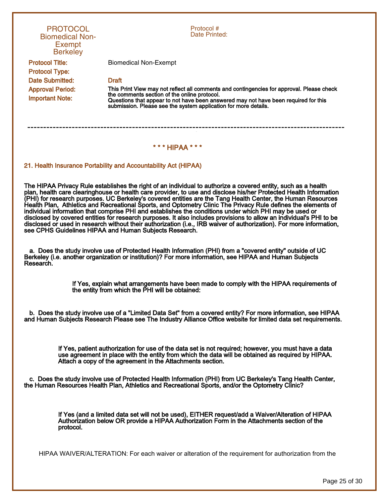| <b>PROTOCOL</b><br><b>Biomedical Non-</b><br>Exempt<br><b>Berkeley</b> | Protocol #<br>Date Printed:                                                                                                                                                                                                                                                                         |
|------------------------------------------------------------------------|-----------------------------------------------------------------------------------------------------------------------------------------------------------------------------------------------------------------------------------------------------------------------------------------------------|
| <b>Protocol Title:</b><br><b>Protocol Type:</b>                        | Biomedical Non-Exempt                                                                                                                                                                                                                                                                               |
| Date Submitted:                                                        | <b>Draft</b>                                                                                                                                                                                                                                                                                        |
| <b>Approval Period:</b><br><b>Important Note:</b>                      | This Print View may not reflect all comments and contingencies for approval. Please check<br>the comments section of the online protocol.<br>Questions that appear to not have been answered may not have been required for this<br>submission. Please see the system application for more details. |
|                                                                        |                                                                                                                                                                                                                                                                                                     |
|                                                                        | *** HIPAA                                                                                                                                                                                                                                                                                           |

### 21. Health Insurance Portability and Accountability Act (HIPAA)

The HIPAA Privacy Rule establishes the right of an individual to authorize a covered entity, such as a health plan, health care clearinghouse or health care provider, to use and disclose his/her Protected Health Information (PHI) for research purposes. UC Berkeley's covered entities are the Tang Health Center, the Human Resources Health Plan, Athletics and Recreational Sports, and Optometry Clinic The Privacy Rule defines the elements of individual information that comprise PHI and establishes the conditions under which PHI may be used or disclosed by covered entities for research purposes. It also includes provisions to allow an individual's PHI to be disclosed or used in research without their authorization (i.e., IRB waiver of authorization). For more information, see CPHS Guidelines HIPAA and Human Subjects Research.

a. Does the study involve use of Protected Health Information (PHI) from a "covered entity" outside of UC Berkeley (i.e. another organization or institution)? For more information, see HIPAA and Human Subjects Research.

> If Yes, explain what arrangements have been made to comply with the HIPAA requirements of the entity from which the PHI will be obtained:

b. Does the study involve use of a "Limited Data Set" from a covered entity? For more information, see HIPAA and Human Subjects Research Please see The Industry Alliance Office website for limited data set requirements.

> If Yes, patient authorization for use of the data set is not required; however, you must have a data use agreement in place with the entity from which the data will be obtained as required by HIPAA. Attach a copy of the agreement in the Attachments section.

c. Does the study involve use of Protected Health Information (PHI) from UC Berkeley's Tang Health Center, the Human Resources Health Plan, Athletics and Recreational Sports, and/or the Optometry Clinic?

> If Yes (and a limited data set will not be used), EITHER request/add a Waiver/Alteration of HIPAA Authorization below OR provide a HIPAA Authorization Form in the Attachments section of the protocol.

HIPAA WAIVER/ALTERATION: For each waiver or alteration of the requirement for authorization from the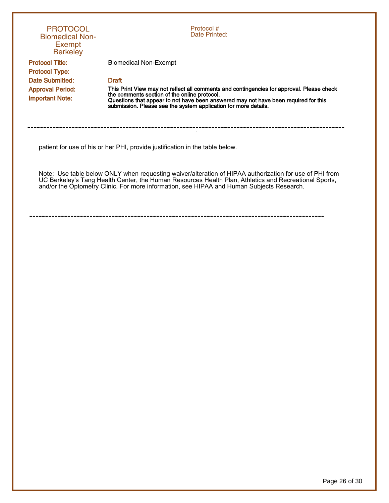| <b>PROTOCOL</b><br><b>Biomedical Non-</b><br>Exempt<br><b>Berkeley</b> | Protocol #<br>Date Printed:                                                                                                                                                                                                                                                                                   |
|------------------------------------------------------------------------|---------------------------------------------------------------------------------------------------------------------------------------------------------------------------------------------------------------------------------------------------------------------------------------------------------------|
| <b>Protocol Title:</b><br><b>Protocol Type:</b>                        | <b>Biomedical Non-Exempt</b>                                                                                                                                                                                                                                                                                  |
| Date Submitted:                                                        | <b>Draft</b>                                                                                                                                                                                                                                                                                                  |
| <b>Approval Period:</b><br><b>Important Note:</b>                      | This Print View may not reflect all comments and contingencies for approval. Please check<br>the comments section of the online protocol.<br>Questions that appear to not have been answered may not have been required for this<br>submission. Please see the system application for more details.           |
|                                                                        | patient for use of his or her PHI, provide justification in the table below.                                                                                                                                                                                                                                  |
|                                                                        | Note: Use table below ONLY when requesting waiver/alteration of HIPAA authorization for use of PHI from<br>UC Berkeley's Tang Health Center, the Human Resources Health Plan, Athletics and Recreational Sports,<br>and/or the Optometry Clinic. For more information, see HIPAA and Human Subjects Research. |

Page 26 of 30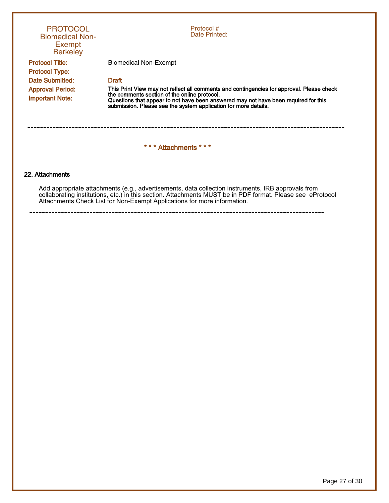| <b>PROTOCOL</b><br><b>Biomedical Non-</b><br>Exempt<br><b>Berkeley</b> | Protocol #<br>Date Printed:                                                                                                                                                                                                                                                                         |  |  |
|------------------------------------------------------------------------|-----------------------------------------------------------------------------------------------------------------------------------------------------------------------------------------------------------------------------------------------------------------------------------------------------|--|--|
| <b>Protocol Title:</b><br><b>Protocol Type:</b>                        | <b>Biomedical Non-Exempt</b>                                                                                                                                                                                                                                                                        |  |  |
| Date Submitted:                                                        | <b>Draft</b>                                                                                                                                                                                                                                                                                        |  |  |
| <b>Approval Period:</b><br><b>Important Note:</b>                      | This Print View may not reflect all comments and contingencies for approval. Please check<br>the comments section of the online protocol.<br>Questions that appear to not have been answered may not have been required for this<br>submission. Please see the system application for more details. |  |  |
|                                                                        | *** Attachments ***                                                                                                                                                                                                                                                                                 |  |  |
| 22. Attachments                                                        |                                                                                                                                                                                                                                                                                                     |  |  |

Add appropriate attachments (e.g., advertisements, data collection instruments, IRB approvals from collaborating institutions, etc.) in this section. Attachments MUST be in PDF format. Please see eProtocol Attachments Check List for Non-Exempt Applications for more information.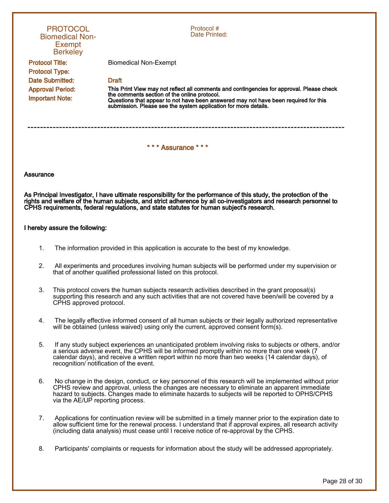| <b>PROTOCOL</b><br><b>Biomedical Non-</b><br><b>Exempt</b><br><b>Berkeley</b> | Protocol#<br>Date Printed:                                                                                                                                                                                                                                                                          |  |  |  |  |  |  |
|-------------------------------------------------------------------------------|-----------------------------------------------------------------------------------------------------------------------------------------------------------------------------------------------------------------------------------------------------------------------------------------------------|--|--|--|--|--|--|
| <b>Protocol Title:</b>                                                        | Biomedical Non-Exempt                                                                                                                                                                                                                                                                               |  |  |  |  |  |  |
| <b>Protocol Type:</b>                                                         |                                                                                                                                                                                                                                                                                                     |  |  |  |  |  |  |
| Date Submitted:                                                               | <b>Draft</b>                                                                                                                                                                                                                                                                                        |  |  |  |  |  |  |
| <b>Approval Period:</b><br><b>Important Note:</b>                             | This Print View may not reflect all comments and contingencies for approval. Please check<br>the comments section of the online protocol.<br>Questions that appear to not have been answered may not have been required for this<br>submission. Please see the system application for more details. |  |  |  |  |  |  |
|                                                                               |                                                                                                                                                                                                                                                                                                     |  |  |  |  |  |  |
| *** Assurance ***                                                             |                                                                                                                                                                                                                                                                                                     |  |  |  |  |  |  |

#### Assurance

As Principal Investigator, I have ultimate responsibility for the performance of this study, the protection of the rights and welfare of the human subjects, and strict adherence by all co-investigators and research personnel to CPHS requirements, federal regulations, and state statutes for human subject's research.

#### I hereby assure the following:

- 1. The information provided in this application is accurate to the best of my knowledge.
- 2. All experiments and procedures involving human subjects will be performed under my supervision or that of another qualified professional listed on this protocol.
- 3. This protocol covers the human subjects research activities described in the grant proposal(s) supporting this research and any such activities that are not covered have been/will be covered by a CPHS approved protocol.
- 4. The legally effective informed consent of all human subjects or their legally authorized representative will be obtained (unless waived) using only the current, approved consent form(s).
- 5. If any study subject experiences an unanticipated problem involving risks to subjects or others, and/or a serious adverse event, the CPHS will be informed promptly within no more than one week (7 calendar days), and receive a written report within no more than two weeks (14 calendar days), of recognition/ notification of the event.
- 6. No change in the design, conduct, or key personnel of this research will be implemented without prior CPHS review and approval, unless the changes are necessary to eliminate an apparent immediate hazard to subjects. Changes made to eliminate hazards to subjects will be reported to OPHS/CPHS via the AE/UP reporting process.
- 7. Applications for continuation review will be submitted in a timely manner prior to the expiration date to allow sufficient time for the renewal process. I understand that if approval expires, all research activity (including data analysis) must cease until I receive notice of re-approval by the CPHS.
- 8. Participants' complaints or requests for information about the study will be addressed appropriately.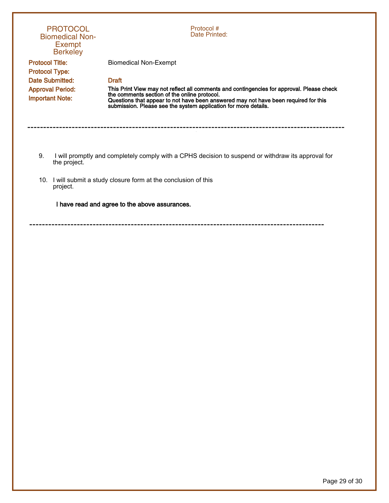|                                                 | <b>PROTOCOL</b><br><b>Biomedical Non-</b><br><b>Exempt</b><br><b>Berkeley</b>                                      | Protocol #<br>Date Printed:                                                                                                                                                                                                                                                                         |  |  |  |
|-------------------------------------------------|--------------------------------------------------------------------------------------------------------------------|-----------------------------------------------------------------------------------------------------------------------------------------------------------------------------------------------------------------------------------------------------------------------------------------------------|--|--|--|
| <b>Protocol Title:</b><br><b>Protocol Type:</b> |                                                                                                                    | <b>Biomedical Non-Exempt</b>                                                                                                                                                                                                                                                                        |  |  |  |
| Date Submitted:                                 |                                                                                                                    | <b>Draft</b>                                                                                                                                                                                                                                                                                        |  |  |  |
| <b>Important Note:</b>                          | <b>Approval Period:</b>                                                                                            | This Print View may not reflect all comments and contingencies for approval. Please check<br>the comments section of the online protocol.<br>Questions that appear to not have been answered may not have been required for this<br>submission. Please see the system application for more details. |  |  |  |
|                                                 |                                                                                                                    |                                                                                                                                                                                                                                                                                                     |  |  |  |
| 9.                                              | I will promptly and completely comply with a CPHS decision to suspend or withdraw its approval for<br>the project. |                                                                                                                                                                                                                                                                                                     |  |  |  |
| 10.                                             | I will submit a study closure form at the conclusion of this<br>project.                                           |                                                                                                                                                                                                                                                                                                     |  |  |  |
|                                                 |                                                                                                                    | I have read and agree to the above assurances.                                                                                                                                                                                                                                                      |  |  |  |
|                                                 |                                                                                                                    |                                                                                                                                                                                                                                                                                                     |  |  |  |